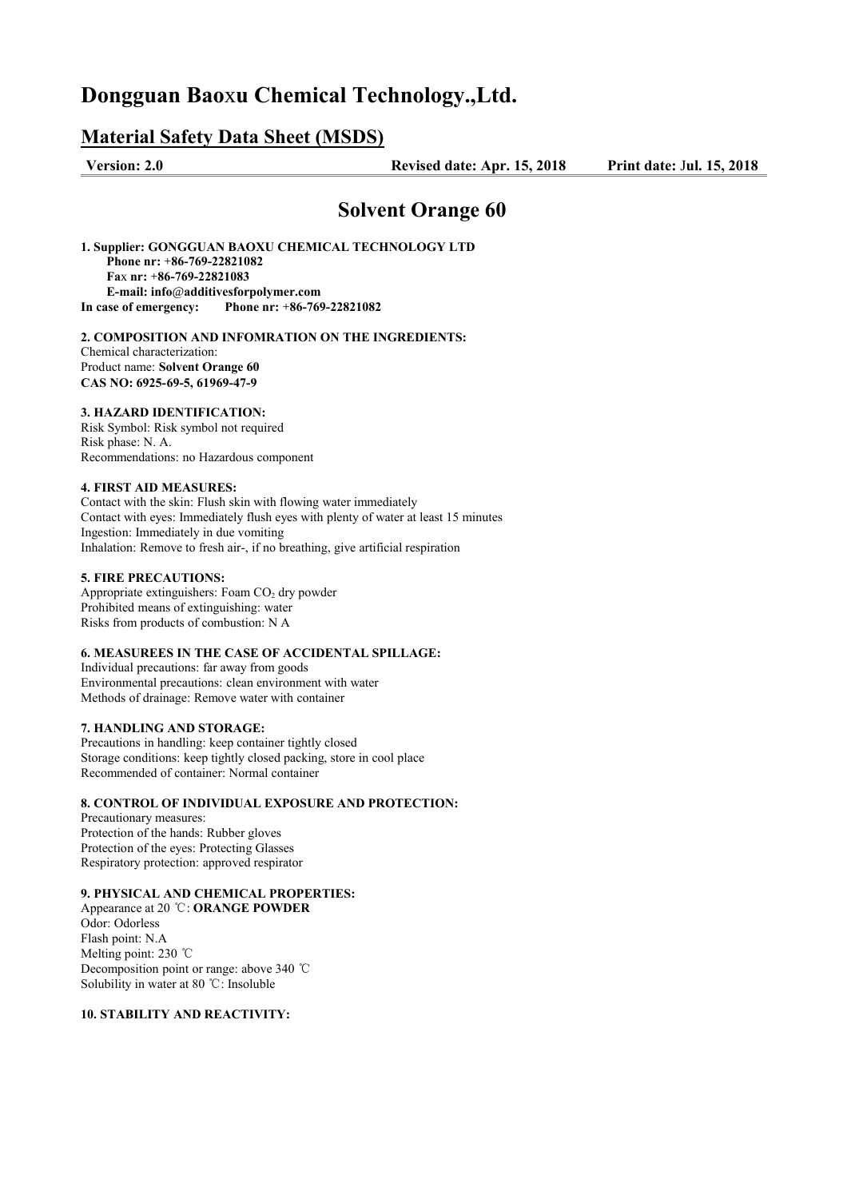# **Dongguan Bao**x**u Chemical Technology.,Ltd.**

## **Material Safety Data Sheet (MSDS)**

**Version: 2.0 Revised date: Apr. 15, 2018 Print date:** J**ul. 15, 2018** 

## **Solvent Orange 60**

**1. Supplier: GONGGUAN BAOXU CHEMICAL TECHNOLOGY LTD Phone nr:** +**86-769-22821082 Fa**x **nr:** +**86-769-22821083 E-mail: info**@**additivesforpolymer.com In case of emergency: Phone nr:** +**86-769-22821082**

#### **2. COMPOSITION AND INFOMRATION ON THE INGREDIENTS:** Chemical characterization:

Product name: **Solvent Orange 60 CAS NO: 6925-69-5, 61969-47-9**

## **3. HAZARD IDENTIFICATION:**

Risk Symbol: Risk symbol not required Risk phase: N. A. Recommendations: no Hazardous component

#### **4. FIRST AID MEASURES:**

Contact with the skin: Flush skin with flowing water immediately Contact with eyes: Immediately flush eyes with plenty of water at least 15 minutes Ingestion: Immediately in due vomiting Inhalation: Remove to fresh air-, if no breathing, give artificial respiration

#### **5. FIRE PRECAUTIONS:**

Appropriate extinguishers: Foam  $CO<sub>2</sub>$  dry powder Prohibited means of extinguishing: water Risks from products of combustion: N A

## **6. MEASUREES IN THE CASE OF ACCIDENTAL SPILLAGE:**

Individual precautions: far away from goods Environmental precautions: clean environment with water Methods of drainage: Remove water with container

### **7. HANDLING AND STORAGE:**

Precautions in handling: keep container tightly closed Storage conditions: keep tightly closed packing, store in cool place Recommended of container: Normal container

#### **8. CONTROL OF INDIVIDUAL EXPOSURE AND PROTECTION:**

Precautionary measures: Protection of the hands: Rubber gloves Protection of the eyes: Protecting Glasses Respiratory protection: approved respirator

## **9. PHYSICAL AND CHEMICAL PROPERTIES:**

Appearance at 20 ℃: **ORANGE POWDER** Odor: Odorless Flash point: N.A Melting point: 230 ℃ Decomposition point or range: above 340 ℃ Solubility in water at 80 ℃: Insoluble

#### **10. STABILITY AND REACTIVITY:**